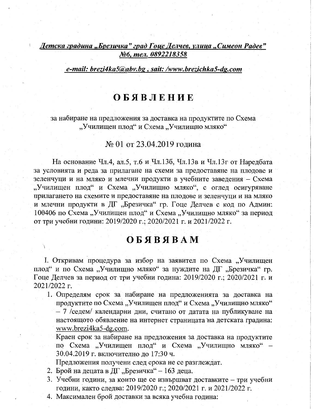Детска градина "Брезичка" град Гоце Делчев, улица "Симеон Радев" №6, тел. 0892218358

## e-mail: brezi4ka5@abv.bg, sait: /www.brezichka5-dg.com

## **ОБЯВЛЕНИЕ**

за набиране на предложения за доставка на продуктите по Схема "Училищен плод" и Схема "Училищно мляко"

## № 01 от 23.04.2019 година

На основание Чл.4, ал.5, т.6 и Чл.136, Чл.13в и Чл.13г от Наредбата за условията и реда за прилагане на схеми за предоставяне на плодове и зеленчуци и на мляко и млечни продукти в учебните заведения - Схема "Училищен плод" и Схема "Училищно мляко", с оглед осигуряване прилагането на схемите и предоставяне на плодове и зеленчуци и на мляко и млечни продукти в ДГ "Брезичка" гр. Гоце Делчев с код по Админ: 100406 по Схема "Училищен плод" и Схема "Училищно мляко" за период от три учебни години: 2019/2020 г.; 2020/2021 г. и 2021/2022 г.

## OБЯВЯВАМ

І. Откривам процедура за избор на заявител по Схема "Училищен плод" и по Схема "Училищно мляко" за нуждите на ДГ "Брезичка" гр. Гоце Делчев за период от три учебни година: 2019/2020 г.; 2020/2021 г. и 2021/2022 г.

1. Определям срок за набиране на предложенията за доставка на продуктите по Схема "Училищен плод" и Схема "Училищно мляко" - 7 /седем/ календарни дни, считано от датата на публикуване на настоящото обявление на интернет страницата на детската градина: www.brezi4ka5-dg.com.

Краен срок за набиране на предложения за доставка на продуктите по Схема "Училищен плод" и Схема "Училищно мляко" -30.04.2019 г. включително до 17:30 ч.

Предложения получени след срока не се разглеждат.

- 2. Брой на децата в ДГ "Брезичка" 163 деца.
- 3. Учебни години, за които ще се извършват доставките три учебни години, както следва: 2019/2020 г.; 2020/2021 г. и 2021/2022 г.
- 4. Максимален брой доставки за всяка учебна година: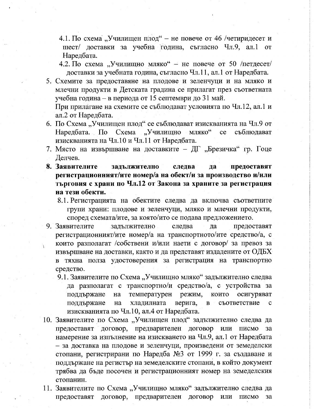- 4.1. По схема "Училищен плод" не повече от 46 /четиридесет и шест/ доставки за учебна година, съгласно Чл.9, ал.1 от Наредбата.
- 4.2. По схема "Училищно мляко" не повече от 50 /петдесет/ доставки за учебната година, съгласно Чл.11, ал.1 от Наредбата.
- 5. Схемите за предоставяне на плодове и зеленчуци и на мляко и млечни продукти в Детската градина се прилагат през съответната учебна година – в периода от 15 септември до 31 май. При прилагане на схемите се съблюдават условията по Чл.12, ал.1 и

ал.2 от Наредбата.

- 6. По Схема "Училищен плод" се съблюдават изискванията на Чл.9 от Наредбата. По Схема "Училищно мляко" съблюдават  $ce$ изискванията на Чл.10 и Чл.11 от Наредбата.
- 7. Място на извършване на доставките ДГ "Брезичка" гр. Гоце Делчев.
- 8. Заявителите задължително да предоставят следва регистрационният/ите номер/а на обект/и за производство и/или търговия с храни по Чл.12 от Закона за храните за регистрация на тези обекти.
	- 8.1. Регистрацията на обектите следва да включва съответните групи храни: плодове и зеленчуци, мляко и млечни продукти, според схемата/ите, за която/ито се подава предложението.
- 9. Заявителите залължително следва да предоставят регистрационният/ите номер/а на транспортното/ите средство/а, с които разполагат /собствени и/или наети с договор/ за превоз за извършване на доставки, както и да представят издадените от ОДБХ в тяхна полза удостоверения за регистрация на транспортно средство.
	- 9.1. Заявителите по Схема "Училищно мляко" задължително следва да разполагат с транспортно/и средство/а, с устройства за температурен режим, които осигуряват поддържане Ha хладилната верига, съответствие  $\mathbf c$ поддържане Ha  $\mathbf{B}$ изискванията по Чл.10, ал.4 от Наредбата.
- 10. Заявителите по Схема "Училищен плод" задължително следва да предоставят договор, предварителен договор или писмо за намерение за изпълнение на изискването на Чл.9, ал.1 от Наредбата - за доставка на плодове и зеленчуци, произведени от земеделски стопани, регистрирани по Наредба №3 от 1999 г. за създаване и поддържане на регистър на земеделските стопани, в който документ трябва да бъде посочен и регистрационният номер на земеделския стопанин.
- 11. Заявителите по Схема "Училищно мляко" задължително следва да предоставят договор, предварителен договор или писмо за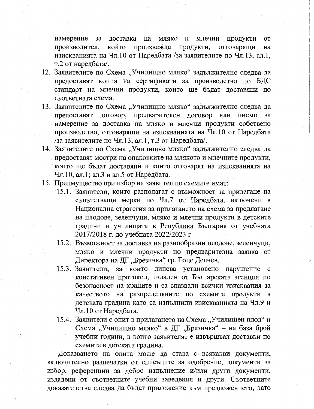намерение за доставка на мляко и млечни продукти **OT** който произвежда продукти, отговарящи производител, на изискванията на Чл.10 от Наредбата /за заявителите по Чл.13, ал.1, т.2 от наредбата/.

- 12. Заявителите по Схема "Училищно мляко" задължително следва да предоставят копия на сертификати за производство по БДС стандарт на млечни продукти, които ще бъдат доставяни по съответната схема.
- 13. Заявителите по Схема "Училищно мляко" задължително следва да предоставят договор, предварителен договор или писмо за намерение за доставка на мляко и млечни продукти собствено производство, отговарящи на изискванията на Чл.10 от Наредбата /за заявителите по Чл.13, ал.1, т.3 от Наредбата/.
- 14. Заявителите по Схема "Училищно мляко" задължително следва да предоставят мостри на опаковките на млякото и млечните продукти, които ще бъдат доставяни и които отговарят на изискванията на Чл.10, ал.1; ал.3 и ал.5 от Наредбата.
- 15. Преимущество при избор на заявител по схемите имат:
	- 15.1. Заявители, които разполагат с възможност за прилагане на съпътстващи мерки по Чл.7 от Наредбата, включени в Национална стратегия за прилагането на схема за предлагане на плодове, зеленчуци, мляко и млечни продукти в детските градини и училищата в Република България от учебната 2017/2018 г. до учебната 2022/2023 г.
	- 15.2. Възможност за доставка на разнообразни плодове, зеленчуци, мляко и млечни продукти по предварителна заявка от Директора на ДГ "Брезичка" гр. Гоце Делчев.
	- 15.3. Заявители, за които липсва установено нарушение с констативен протокол, издаден от Българската агенция по безопасност на храните и са спазвали всички изисквания за качеството на разпределяните по схемите продукти в детската градина като са изпълнили изискванията на Чл.9 и Чл.10 от Наредбата.
	- 15.4. Заявители с опит в прилагането на Схема "Училищен плод" и Схема "Училищно мляко" в ДГ "Брезичка" - на база брой учебни години, в които заявителят е извършвал доставки по схемите в детската градина.

Доказването на опита може да става с всякакви документи, включително разпечатки от списъците за одобрение, документи за избор, референции за добро изпълнение и/или други документи, издадени от съответните учебни заведения и други. Съответните доказателства следва да бъдат приложение към предложението, като